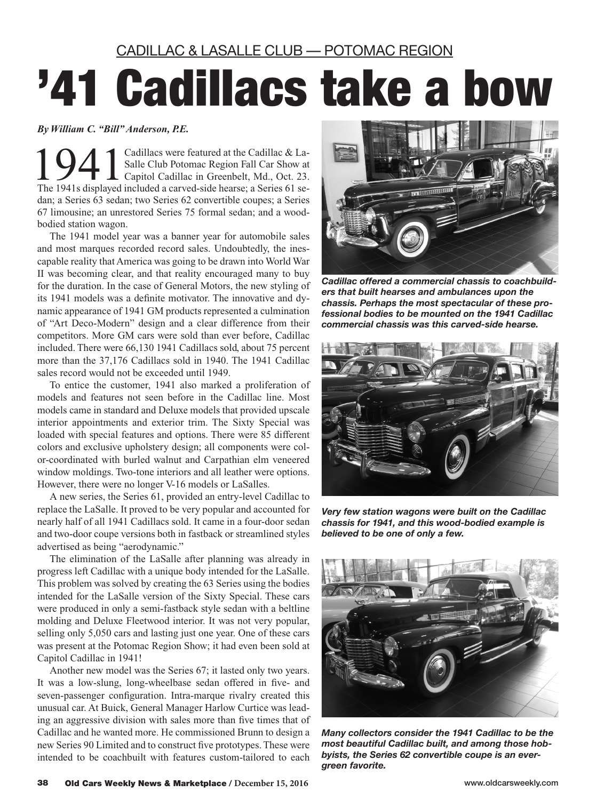CADILLAC & LASALLE CLUB — POTOMAC REGION

## '41 Cadillacs take a bow

## *By William C. "Bill" Anderson, P.E.*

1941 Cadillacs were featured at the Cadillac & La-<br>
Capitol Cadillac in Greenbelt, Md., Oct. 23.<br>
The 1941s displayed included a cerved side bearse: a Series 61 se Salle Club Potomac Region Fall Car Show at The 1941s displayed included a carved-side hearse; a Series 61 sedan; a Series 63 sedan; two Series 62 convertible coupes; a Series 67 limousine; an unrestored Series 75 formal sedan; and a woodbodied station wagon.

The 1941 model year was a banner year for automobile sales and most marques recorded record sales. Undoubtedly, the inescapable reality that America was going to be drawn into World War II was becoming clear, and that reality encouraged many to buy for the duration. In the case of General Motors, the new styling of its 1941 models was a definite motivator. The innovative and dynamic appearance of 1941 GM products represented a culmination of "Art Deco-Modern" design and a clear difference from their competitors. More GM cars were sold than ever before, Cadillac included. There were 66,130 1941 Cadillacs sold, about 75 percent more than the 37,176 Cadillacs sold in 1940. The 1941 Cadillac sales record would not be exceeded until 1949.

To entice the customer, 1941 also marked a proliferation of models and features not seen before in the Cadillac line. Most models came in standard and Deluxe models that provided upscale interior appointments and exterior trim. The Sixty Special was loaded with special features and options. There were 85 different colors and exclusive upholstery design; all components were color-coordinated with burled walnut and Carpathian elm veneered window moldings. Two-tone interiors and all leather were options. However, there were no longer V-16 models or LaSalles.

A new series, the Series 61, provided an entry-level Cadillac to replace the LaSalle. It proved to be very popular and accounted for nearly half of all 1941 Cadillacs sold. It came in a four-door sedan and two-door coupe versions both in fastback or streamlined styles advertised as being "aerodynamic."

The elimination of the LaSalle after planning was already in progress left Cadillac with a unique body intended for the LaSalle. This problem was solved by creating the 63 Series using the bodies intended for the LaSalle version of the Sixty Special. These cars were produced in only a semi-fastback style sedan with a beltline molding and Deluxe Fleetwood interior. It was not very popular, selling only 5,050 cars and lasting just one year. One of these cars was present at the Potomac Region Show; it had even been sold at Capitol Cadillac in 1941!

Another new model was the Series 67; it lasted only two years. It was a low-slung, long-wheelbase sedan offered in five- and seven-passenger configuration. Intra-marque rivalry created this unusual car. At Buick, General Manager Harlow Curtice was leading an aggressive division with sales more than five times that of Cadillac and he wanted more. He commissioned Brunn to design a new Series 90 Limited and to construct five prototypes. These were intended to be coachbuilt with features custom-tailored to each



*Cadillac offered a commercial chassis to coachbuilders that built hearses and ambulances upon the chassis. Perhaps the most spectacular of these professional bodies to be mounted on the 1941 Cadillac commercial chassis was this carved-side hearse.*



*Very few station wagons were built on the Cadillac chassis for 1941, and this wood-bodied example is believed to be one of only a few.*



*Many collectors consider the 1941 Cadillac to be the most beautiful Cadillac built, and among those hobbyists, the Series 62 convertible coupe is an evergreen favorite.*